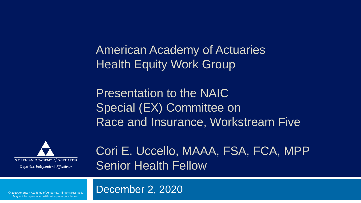American Academy of Actuaries Health Equity Work Group

Presentation to the NAIC Special (EX) Committee on Race and Insurance, Workstream Five



Cori E. Uccello, MAAA, FSA, FCA, MPP Senior Health Fellow

December 2, 2020

© 2020 American Academy of Actuaries. All rights reserved. May not be reproduced without express permission.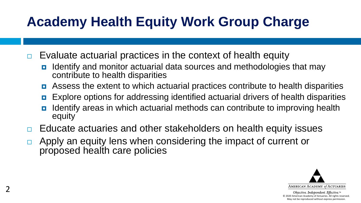## **Academy Health Equity Work Group Charge**

- $\Box$  Evaluate actuarial practices in the context of health equity
	- **If all identify and monitor actuarial data sources and methodologies that may** contribute to health disparities
	- **E** Assess the extent to which actuarial practices contribute to health disparities
	- **EXPLOTE OPTIONS FOR ADDETER IS EXPLOTE OPTIONS EXPLOTE:** CONTERCT **DETER EXPLOTE IS EXPLOTED FOR A FIGURE**
	- Identify areas in which actuarial methods can contribute to improving health equity
- □ Educate actuaries and other stakeholders on health equity issues
- $\Box$  Apply an equity lens when considering the impact of current or proposed health care policies

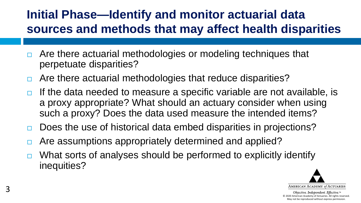#### **Initial Phase—Identify and monitor actuarial data sources and methods that may affect health disparities**

- $\Box$  Are there actuarial methodologies or modeling techniques that perpetuate disparities?
- $\Box$  Are there actuarial methodologies that reduce disparities?
- $\Box$  If the data needed to measure a specific variable are not available, is a proxy appropriate? What should an actuary consider when using such a proxy? Does the data used measure the intended items?
- $\Box$  Does the use of historical data embed disparities in projections?
- □ Are assumptions appropriately determined and applied?
- $\Box$  What sorts of analyses should be performed to explicitly identify inequities?

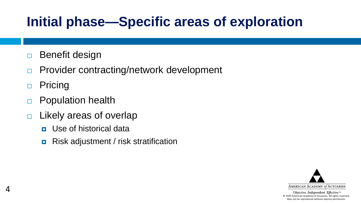## **Initial phase—Specific areas of exploration**

- □ Benefit design
- □ Provider contracting/network development
- □ Pricing

4

- **Population health**
- $\Box$  Likely areas of overlap
	- **<u>n</u>** Use of historical data
	- **Risk adjustment / risk stratification**

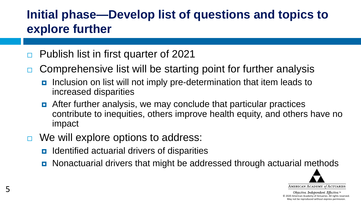#### **Initial phase—Develop list of questions and topics to explore further**

- □ Publish list in first quarter of 2021
- $\Box$  Comprehensive list will be starting point for further analysis
	- Inclusion on list will not imply pre-determination that item leads to increased disparities
	- **E** After further analysis, we may conclude that particular practices contribute to inequities, others improve health equity, and others have no impact
- $\Box$  We will explore options to address:
	- Identified actuarial drivers of disparities
	- **D** Nonactuarial drivers that might be addressed through actuarial methods

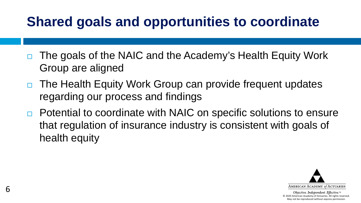## **Shared goals and opportunities to coordinate**

- $\Box$  The goals of the NAIC and the Academy's Health Equity Work Group are aligned
- □ The Health Equity Work Group can provide frequent updates regarding our process and findings
- $\Box$  Potential to coordinate with NAIC on specific solutions to ensure that regulation of insurance industry is consistent with goals of health equity